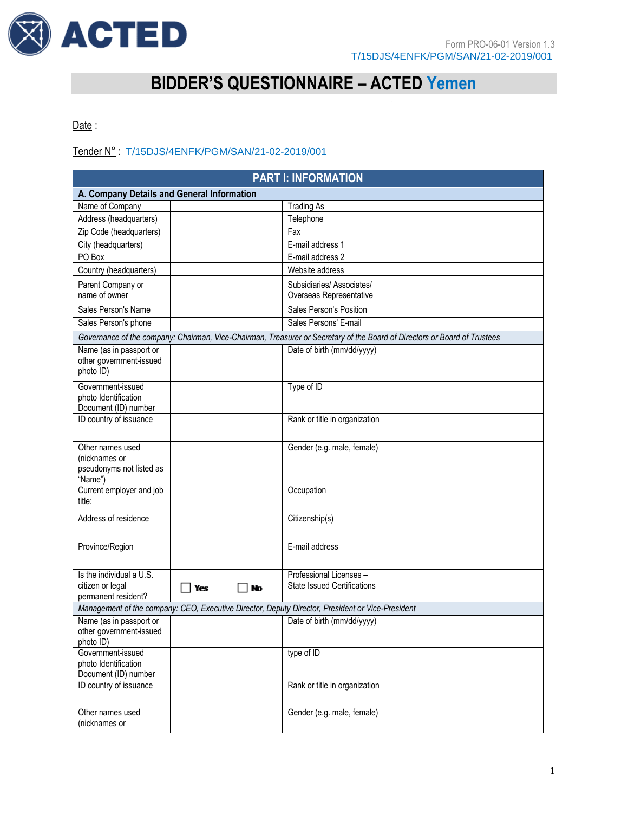

## **BIDDER'S QUESTIONNAIRE – ACTED Yemen**

## Date:

## Tender N° : T/15DJS/4ENFK/PGM/SAN/21-02-2019/001

|                                                |     |    | <b>PART I: INFORMATION</b>                                                                       |                                                                                                                           |
|------------------------------------------------|-----|----|--------------------------------------------------------------------------------------------------|---------------------------------------------------------------------------------------------------------------------------|
| A. Company Details and General Information     |     |    |                                                                                                  |                                                                                                                           |
| Name of Company                                |     |    | <b>Trading As</b>                                                                                |                                                                                                                           |
| Address (headquarters)                         |     |    | Telephone                                                                                        |                                                                                                                           |
| Zip Code (headquarters)                        |     |    | Fax                                                                                              |                                                                                                                           |
| City (headquarters)                            |     |    | E-mail address 1                                                                                 |                                                                                                                           |
| PO Box                                         |     |    | E-mail address 2                                                                                 |                                                                                                                           |
| Country (headquarters)                         |     |    | Website address                                                                                  |                                                                                                                           |
| Parent Company or                              |     |    | Subsidiaries/ Associates/                                                                        |                                                                                                                           |
| name of owner                                  |     |    | Overseas Representative                                                                          |                                                                                                                           |
| Sales Person's Name                            |     |    | Sales Person's Position                                                                          |                                                                                                                           |
| Sales Person's phone                           |     |    | Sales Persons' E-mail                                                                            |                                                                                                                           |
|                                                |     |    |                                                                                                  | Governance of the company: Chairman, Vice-Chairman, Treasurer or Secretary of the Board of Directors or Board of Trustees |
| Name (as in passport or                        |     |    | Date of birth (mm/dd/yyyy)                                                                       |                                                                                                                           |
| other government-issued                        |     |    |                                                                                                  |                                                                                                                           |
| photo ID)                                      |     |    |                                                                                                  |                                                                                                                           |
| Government-issued                              |     |    | Type of ID                                                                                       |                                                                                                                           |
| photo Identification                           |     |    |                                                                                                  |                                                                                                                           |
| Document (ID) number                           |     |    |                                                                                                  |                                                                                                                           |
| ID country of issuance                         |     |    | Rank or title in organization                                                                    |                                                                                                                           |
|                                                |     |    |                                                                                                  |                                                                                                                           |
| Other names used                               |     |    | Gender (e.g. male, female)                                                                       |                                                                                                                           |
| (nicknames or                                  |     |    |                                                                                                  |                                                                                                                           |
| pseudonyms not listed as<br>"Name")            |     |    |                                                                                                  |                                                                                                                           |
| Current employer and job                       |     |    | Occupation                                                                                       |                                                                                                                           |
| title:                                         |     |    |                                                                                                  |                                                                                                                           |
| Address of residence                           |     |    | Citizenship(s)                                                                                   |                                                                                                                           |
|                                                |     |    |                                                                                                  |                                                                                                                           |
|                                                |     |    |                                                                                                  |                                                                                                                           |
| Province/Region                                |     |    | E-mail address                                                                                   |                                                                                                                           |
|                                                |     |    |                                                                                                  |                                                                                                                           |
| Is the individual a U.S.                       |     |    | Professional Licenses -                                                                          |                                                                                                                           |
| citizen or legal<br>permanent resident?        | Yes | No | <b>State Issued Certifications</b>                                                               |                                                                                                                           |
|                                                |     |    | Management of the company: CEO, Executive Director, Deputy Director, President or Vice-President |                                                                                                                           |
| Name (as in passport or                        |     |    | Date of birth (mm/dd/yyyy)                                                                       |                                                                                                                           |
| other government-issued                        |     |    |                                                                                                  |                                                                                                                           |
| photo ID)                                      |     |    |                                                                                                  |                                                                                                                           |
| Government-issued                              |     |    | type of ID                                                                                       |                                                                                                                           |
| photo Identification                           |     |    |                                                                                                  |                                                                                                                           |
| Document (ID) number<br>ID country of issuance |     |    |                                                                                                  |                                                                                                                           |
|                                                |     |    | Rank or title in organization                                                                    |                                                                                                                           |
|                                                |     |    |                                                                                                  |                                                                                                                           |
| Other names used                               |     |    | Gender (e.g. male, female)                                                                       |                                                                                                                           |
| (nicknames or                                  |     |    |                                                                                                  |                                                                                                                           |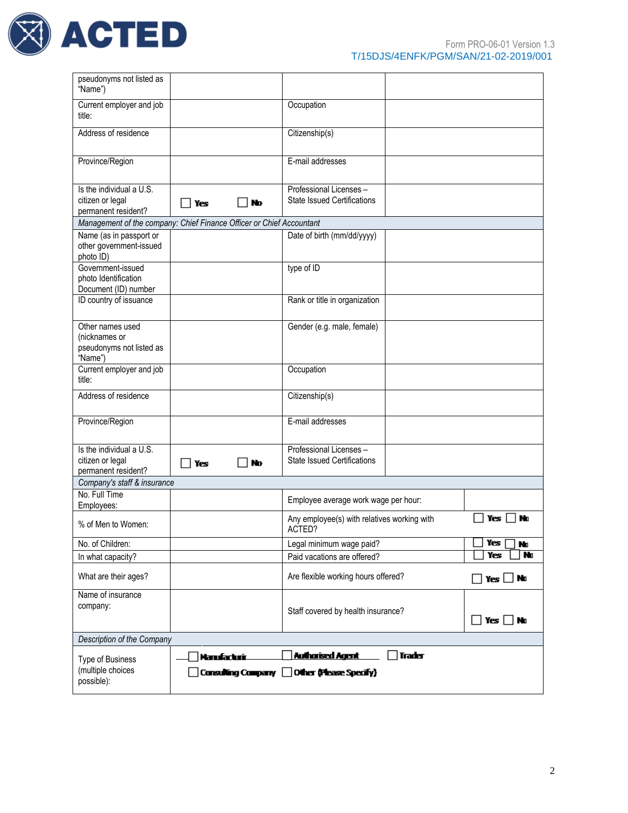

| pseudonyms not listed as<br>"Name")                                      |             |    |                                                                        |        |               |
|--------------------------------------------------------------------------|-------------|----|------------------------------------------------------------------------|--------|---------------|
| Current employer and job<br>title:                                       |             |    | Occupation                                                             |        |               |
| Address of residence                                                     |             |    | Citizenship(s)                                                         |        |               |
| Province/Region                                                          |             |    | E-mail addresses                                                       |        |               |
| Is the individual a U.S.<br>citizen or legal<br>permanent resident?      | Yes         | No | Professional Licenses -<br><b>State Issued Certifications</b>          |        |               |
| Management of the company: Chief Finance Officer or Chief Accountant     |             |    |                                                                        |        |               |
| Name (as in passport or<br>other government-issued<br>photo ID)          |             |    | Date of birth (mm/dd/yyyy)                                             |        |               |
| Government-issued<br>photo Identification<br>Document (ID) number        |             |    | type of ID                                                             |        |               |
| ID country of issuance                                                   |             |    | Rank or title in organization                                          |        |               |
| Other names used<br>(nicknames or<br>pseudonyms not listed as<br>"Name") |             |    | Gender (e.g. male, female)                                             |        |               |
| Current employer and job<br>title:                                       |             |    | Occupation                                                             |        |               |
| Address of residence                                                     |             |    | Citizenship(s)                                                         |        |               |
| Province/Region                                                          |             |    | E-mail addresses                                                       |        |               |
| Is the individual a U.S.<br>citizen or legal<br>permanent resident?      | Yes         | No | Professional Licenses -<br><b>State Issued Certifications</b>          |        |               |
| Company's staff & insurance                                              |             |    |                                                                        |        |               |
| No. Full Time<br>Employees:                                              |             |    | Employee average work wage per hour:                                   |        |               |
| % of Men to Women:                                                       |             |    | Any employee(s) with relatives working with<br>ACTED?                  |        | Yes<br>No     |
| No. of Children:                                                         |             |    | Legal minimum wage paid?                                               |        | Yes<br>No     |
| In what capacity?                                                        |             |    | Paid vacations are offered?                                            |        | No<br>Yes     |
| What are their ages?                                                     |             |    | Are flexible working hours offered?                                    |        | $Yes \Box$ No |
| Name of insurance<br>company:                                            |             |    | Staff covered by health insurance?                                     |        | ]Yes □ No     |
| Description of the Company                                               |             |    |                                                                        |        |               |
| <b>Type of Business</b><br>(multiple choices                             | Manufacturi |    | <u>Authorised Agent</u><br>Consulting Company   Other (Please Specify) | Trader |               |
| possible):                                                               |             |    |                                                                        |        |               |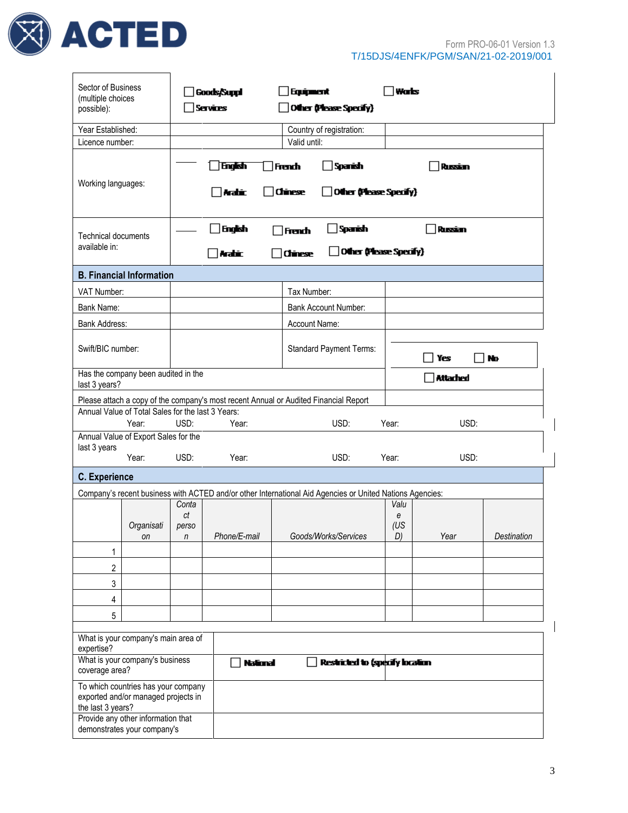

| Sector of Business<br>(multiple choices<br>possible): |                                                                                                                  |                                          | <b>Goods/Suppl</b><br><b>Services</b>                                                                    | <b>Equipment</b>                | Other (Please Specify)                 | Wats                   |                 |             |
|-------------------------------------------------------|------------------------------------------------------------------------------------------------------------------|------------------------------------------|----------------------------------------------------------------------------------------------------------|---------------------------------|----------------------------------------|------------------------|-----------------|-------------|
| Year Established:                                     |                                                                                                                  |                                          |                                                                                                          |                                 | Country of registration:               |                        |                 |             |
| Licence number:                                       |                                                                                                                  |                                          |                                                                                                          | Valid until:                    |                                        |                        |                 |             |
| Working languages:                                    |                                                                                                                  |                                          | English<br>Arabic                                                                                        | <b>French</b><br><b>Chinese</b> | Sparish<br>Other (Please Specify)      |                        | Russian         |             |
| <b>Technical documents</b><br>available in:           |                                                                                                                  |                                          | English<br>Arabic                                                                                        | <b>French</b><br><b>Chinese</b> | Spanish                                | Other (Please Specify) | Russian         |             |
|                                                       | <b>B. Financial Information</b>                                                                                  |                                          |                                                                                                          |                                 |                                        |                        |                 |             |
| VAT Number:                                           |                                                                                                                  |                                          |                                                                                                          | Tax Number:                     |                                        |                        |                 |             |
| Bank Name:                                            |                                                                                                                  |                                          |                                                                                                          |                                 | Bank Account Number:                   |                        |                 |             |
| <b>Bank Address:</b>                                  |                                                                                                                  |                                          |                                                                                                          | Account Name:                   |                                        |                        |                 |             |
| Swift/BIC number:                                     |                                                                                                                  |                                          |                                                                                                          |                                 | <b>Standard Payment Terms:</b>         |                        | Yes             | No          |
| last 3 years?                                         | Has the company been audited in the                                                                              |                                          |                                                                                                          |                                 |                                        |                        | <b>Attached</b> |             |
|                                                       |                                                                                                                  |                                          | Please attach a copy of the company's most recent Annual or Audited Financial Report                     |                                 |                                        |                        |                 |             |
|                                                       | Annual Value of Total Sales for the last 3 Years:<br>Year:                                                       | USD:                                     | Year:                                                                                                    |                                 | USD:                                   | Year:                  | USD:            |             |
| last 3 years                                          | Annual Value of Export Sales for the<br>Year:                                                                    | USD:                                     | Year:                                                                                                    |                                 | USD:                                   | Year:                  | USD:            |             |
|                                                       |                                                                                                                  |                                          |                                                                                                          |                                 |                                        |                        |                 |             |
| <b>C.</b> Experience                                  |                                                                                                                  |                                          |                                                                                                          |                                 |                                        |                        |                 |             |
|                                                       |                                                                                                                  |                                          | Company's recent business with ACTED and/or other International Aid Agencies or United Nations Agencies: |                                 |                                        |                        |                 |             |
|                                                       | Organisati<br>on                                                                                                 | Conta<br>ct<br>perso<br>$\boldsymbol{n}$ | Phone/E-mail                                                                                             |                                 | Goods/Works/Services                   | Valu<br>e<br>(US<br>D) | Year            | Destination |
| 1                                                     |                                                                                                                  |                                          |                                                                                                          |                                 |                                        |                        |                 |             |
| 2                                                     |                                                                                                                  |                                          |                                                                                                          |                                 |                                        |                        |                 |             |
| 3                                                     |                                                                                                                  |                                          |                                                                                                          |                                 |                                        |                        |                 |             |
| 4                                                     |                                                                                                                  |                                          |                                                                                                          |                                 |                                        |                        |                 |             |
| 5                                                     |                                                                                                                  |                                          |                                                                                                          |                                 |                                        |                        |                 |             |
| expertise?                                            | What is your company's main area of                                                                              |                                          |                                                                                                          |                                 |                                        |                        |                 |             |
| coverage area?                                        | What is your company's business                                                                                  |                                          | National                                                                                                 |                                 | <b>Restricted to (specify location</b> |                        |                 |             |
| the last 3 years?                                     | To which countries has your company<br>exported and/or managed projects in<br>Provide any other information that |                                          |                                                                                                          |                                 |                                        |                        |                 |             |
|                                                       | demonstrates your company's                                                                                      |                                          |                                                                                                          |                                 |                                        |                        |                 |             |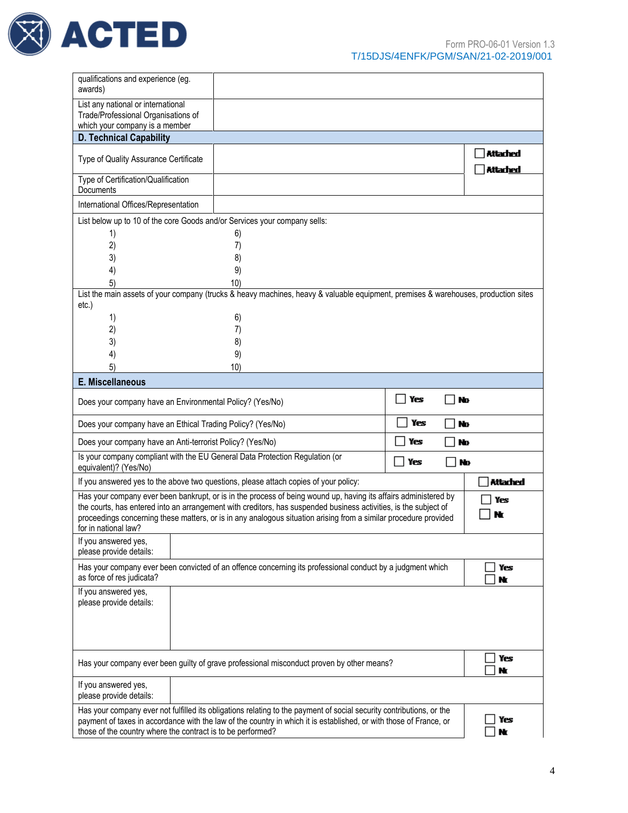

| qualifications and experience (eg.<br>awards)                                                               |                                                                                                                                                                                                                                                                                                                                                         |     |                 |
|-------------------------------------------------------------------------------------------------------------|---------------------------------------------------------------------------------------------------------------------------------------------------------------------------------------------------------------------------------------------------------------------------------------------------------------------------------------------------------|-----|-----------------|
| List any national or international<br>Trade/Professional Organisations of<br>which your company is a member |                                                                                                                                                                                                                                                                                                                                                         |     |                 |
| <b>D. Technical Capability</b>                                                                              |                                                                                                                                                                                                                                                                                                                                                         |     |                 |
| Type of Quality Assurance Certificate                                                                       |                                                                                                                                                                                                                                                                                                                                                         |     | <b>Attached</b> |
| Type of Certification/Qualification<br>Documents                                                            |                                                                                                                                                                                                                                                                                                                                                         |     | <b>Attached</b> |
| International Offices/Representation                                                                        |                                                                                                                                                                                                                                                                                                                                                         |     |                 |
| List below up to 10 of the core Goods and/or Services your company sells:<br>1)<br>2)<br>3)<br>4)<br>5)     | 6)<br>7)<br>8)<br>9)<br>10)                                                                                                                                                                                                                                                                                                                             |     |                 |
| $etc.$ )<br>1)<br>2)<br>3)<br>4)<br>5)                                                                      | List the main assets of your company (trucks & heavy machines, heavy & valuable equipment, premises & warehouses, production sites<br>6)<br>7)<br>8)<br>9)<br>10)                                                                                                                                                                                       |     |                 |
| E. Miscellaneous                                                                                            |                                                                                                                                                                                                                                                                                                                                                         |     |                 |
| Does your company have an Environmental Policy? (Yes/No)                                                    |                                                                                                                                                                                                                                                                                                                                                         | Yes | No              |
| Does your company have an Ethical Trading Policy? (Yes/No)                                                  |                                                                                                                                                                                                                                                                                                                                                         | Yes | No              |
| Does your company have an Anti-terrorist Policy? (Yes/No)                                                   |                                                                                                                                                                                                                                                                                                                                                         | Yes | No              |
| Is your company compliant with the EU General Data Protection Regulation (or<br>equivalent)? (Yes/No)       |                                                                                                                                                                                                                                                                                                                                                         | Yes | No              |
|                                                                                                             | If you answered yes to the above two questions, please attach copies of your policy:                                                                                                                                                                                                                                                                    |     | <b>Attached</b> |
| for in national law?                                                                                        | Has your company ever been bankrupt, or is in the process of being wound up, having its affairs administered by<br>the courts, has entered into an arrangement with creditors, has suspended business activities, is the subject of<br>proceedings concerning these matters, or is in any analogous situation arising from a similar procedure provided |     | Yes<br>Nr       |
| If you answered yes,<br>please provide details:                                                             |                                                                                                                                                                                                                                                                                                                                                         |     |                 |
| as force of res judicata?                                                                                   | Has your company ever been convicted of an offence concerning its professional conduct by a judgment which                                                                                                                                                                                                                                              |     | Yes<br>Nt       |
| If you answered yes,<br>please provide details:                                                             |                                                                                                                                                                                                                                                                                                                                                         |     |                 |
|                                                                                                             | Has your company ever been guilty of grave professional misconduct proven by other means?                                                                                                                                                                                                                                                               |     | Yes<br>Nt       |
| If you answered yes,<br>please provide details:                                                             |                                                                                                                                                                                                                                                                                                                                                         |     |                 |
| those of the country where the contract is to be performed?                                                 | Has your company ever not fulfilled its obligations relating to the payment of social security contributions, or the<br>payment of taxes in accordance with the law of the country in which it is established, or with those of France, or                                                                                                              |     | Yes             |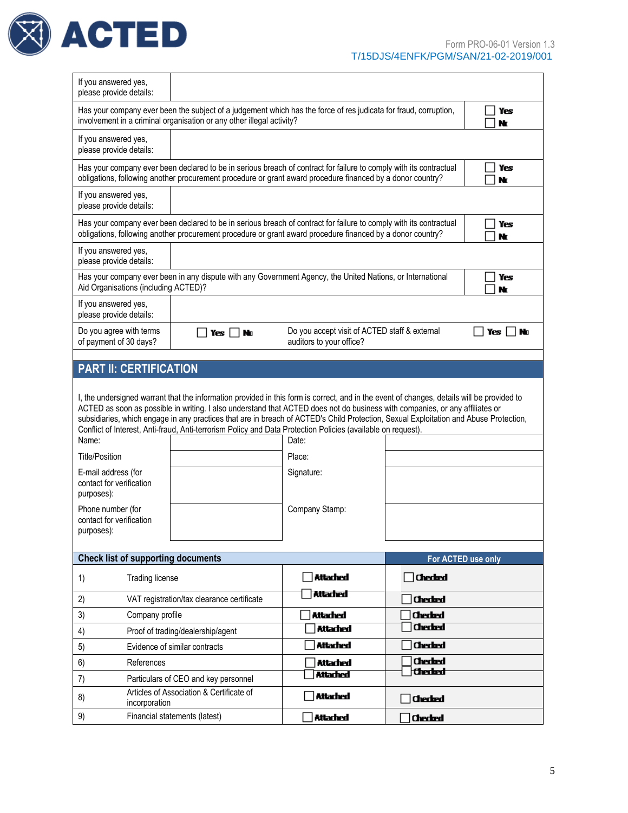

| If you answered yes,<br>please provide details:               |                                                                                                                                                                                                                                                                                                                                                                                                                                                                                                                                     |                                                                           |                    |           |
|---------------------------------------------------------------|-------------------------------------------------------------------------------------------------------------------------------------------------------------------------------------------------------------------------------------------------------------------------------------------------------------------------------------------------------------------------------------------------------------------------------------------------------------------------------------------------------------------------------------|---------------------------------------------------------------------------|--------------------|-----------|
|                                                               | Has your company ever been the subject of a judgement which has the force of res judicata for fraud, corruption,<br>involvement in a criminal organisation or any other illegal activity?                                                                                                                                                                                                                                                                                                                                           |                                                                           |                    | Yes<br>Nt |
| If you answered yes,<br>please provide details:               |                                                                                                                                                                                                                                                                                                                                                                                                                                                                                                                                     |                                                                           |                    |           |
|                                                               | Has your company ever been declared to be in serious breach of contract for failure to comply with its contractual<br>obligations, following another procurement procedure or grant award procedure financed by a donor country?                                                                                                                                                                                                                                                                                                    |                                                                           |                    | Yes<br>Nr |
| If you answered yes,<br>please provide details:               |                                                                                                                                                                                                                                                                                                                                                                                                                                                                                                                                     |                                                                           |                    |           |
|                                                               | Has your company ever been declared to be in serious breach of contract for failure to comply with its contractual<br>obligations, following another procurement procedure or grant award procedure financed by a donor country?                                                                                                                                                                                                                                                                                                    |                                                                           |                    | Yes<br>Nt |
| If you answered yes,<br>please provide details:               |                                                                                                                                                                                                                                                                                                                                                                                                                                                                                                                                     |                                                                           |                    |           |
| Aid Organisations (including ACTED)?                          | Has your company ever been in any dispute with any Government Agency, the United Nations, or International                                                                                                                                                                                                                                                                                                                                                                                                                          |                                                                           |                    | Yes<br>Nt |
| If you answered yes,<br>please provide details:               |                                                                                                                                                                                                                                                                                                                                                                                                                                                                                                                                     |                                                                           |                    |           |
| Do you agree with terms<br>of payment of 30 days?             | Yes<br>No                                                                                                                                                                                                                                                                                                                                                                                                                                                                                                                           | Do you accept visit of ACTED staff & external<br>auditors to your office? |                    | Yes<br>No |
| <b>PART II: CERTIFICATION</b>                                 |                                                                                                                                                                                                                                                                                                                                                                                                                                                                                                                                     |                                                                           |                    |           |
|                                                               | I, the undersigned warrant that the information provided in this form is correct, and in the event of changes, details will be provided to<br>ACTED as soon as possible in writing. I also understand that ACTED does not do business with companies, or any affiliates or<br>subsidiaries, which engage in any practices that are in breach of ACTED's Child Protection, Sexual Exploitation and Abuse Protection,<br>Conflict of Interest, Anti-fraud, Anti-terrorism Policy and Data Protection Policies (available on request). |                                                                           |                    |           |
| Name:                                                         |                                                                                                                                                                                                                                                                                                                                                                                                                                                                                                                                     | Date:                                                                     |                    |           |
| <b>Title/Position</b>                                         |                                                                                                                                                                                                                                                                                                                                                                                                                                                                                                                                     | Place:                                                                    |                    |           |
| E-mail address (for<br>contact for verification<br>purposes): |                                                                                                                                                                                                                                                                                                                                                                                                                                                                                                                                     | Signature:                                                                |                    |           |
| Phone number (for<br>contact for verification<br>purposes):   |                                                                                                                                                                                                                                                                                                                                                                                                                                                                                                                                     | Company Stamp:                                                            |                    |           |
| <b>Check list of supporting documents</b>                     |                                                                                                                                                                                                                                                                                                                                                                                                                                                                                                                                     |                                                                           | For ACTED use only |           |
| 1)<br><b>Trading license</b>                                  |                                                                                                                                                                                                                                                                                                                                                                                                                                                                                                                                     | <b>Attached</b>                                                           | <b>Checked</b>     |           |
| 2)                                                            | VAT registration/tax clearance certificate                                                                                                                                                                                                                                                                                                                                                                                                                                                                                          | Atlached                                                                  | <b>Checked</b>     |           |
| 3)<br>Company profile                                         |                                                                                                                                                                                                                                                                                                                                                                                                                                                                                                                                     | Attached                                                                  | <b>Checked</b>     |           |
| 4)                                                            | Proof of trading/dealership/agent                                                                                                                                                                                                                                                                                                                                                                                                                                                                                                   | <b>Attached</b>                                                           | <b>Checked</b>     |           |
| 5)                                                            | Evidence of similar contracts                                                                                                                                                                                                                                                                                                                                                                                                                                                                                                       | <b>Attached</b>                                                           | <b>Checked</b>     |           |
| 6)<br>References                                              |                                                                                                                                                                                                                                                                                                                                                                                                                                                                                                                                     | <b>Attached</b>                                                           | <b>Checked</b>     |           |
| 7)                                                            | Particulars of CEO and key personnel                                                                                                                                                                                                                                                                                                                                                                                                                                                                                                | Attached                                                                  | <b>Chected</b>     |           |
| 8)<br>incorporation                                           | Articles of Association & Certificate of                                                                                                                                                                                                                                                                                                                                                                                                                                                                                            | <b>Attached</b>                                                           | <b>Checked</b>     |           |
| 9)                                                            | Financial statements (latest)                                                                                                                                                                                                                                                                                                                                                                                                                                                                                                       | Attached                                                                  | <b>Checked</b>     |           |